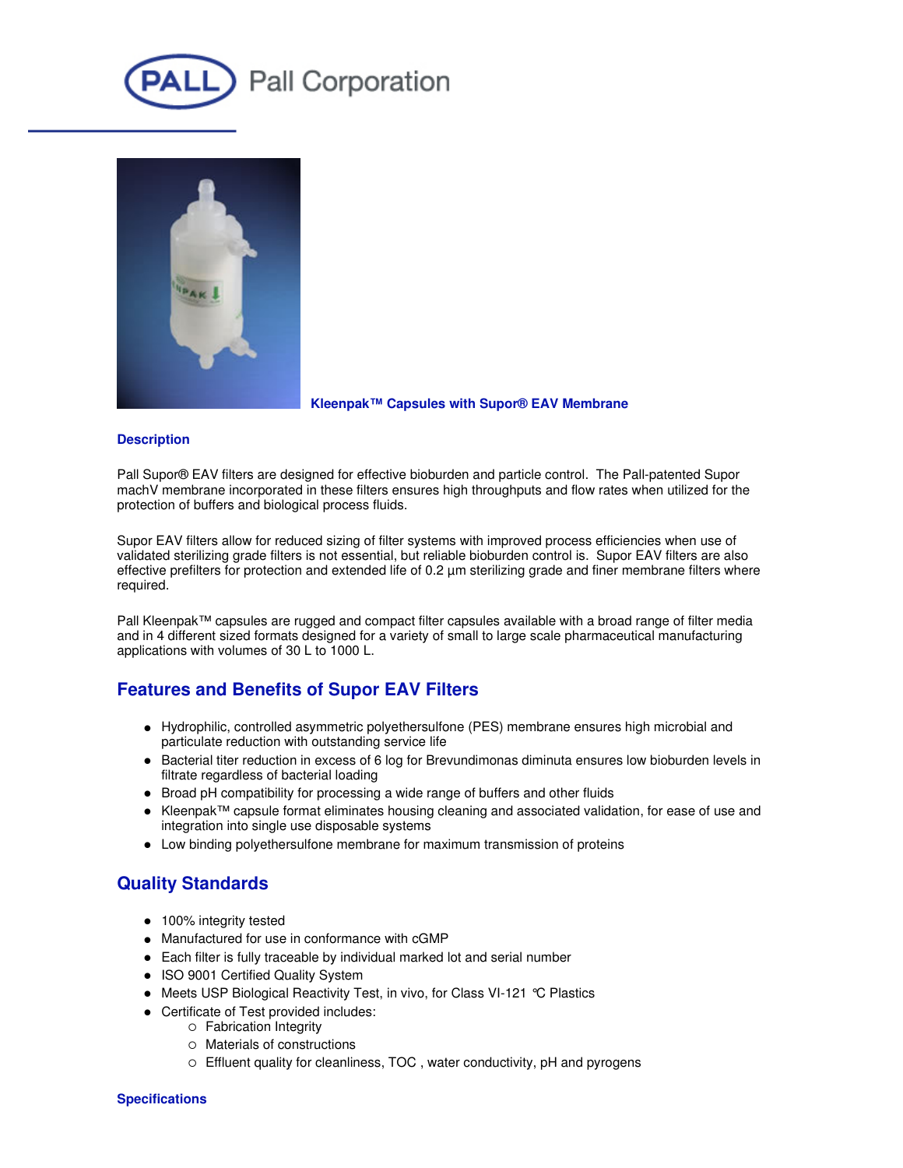



#### **Kleenpak™ Capsules with Supor® EAV Membrane**

#### **Description**

Pall Supor® EAV filters are designed for effective bioburden and particle control. The Pall-patented Supor machV membrane incorporated in these filters ensures high throughputs and flow rates when utilized for the protection of buffers and biological process fluids.

Supor EAV filters allow for reduced sizing of filter systems with improved process efficiencies when use of validated sterilizing grade filters is not essential, but reliable bioburden control is. Supor EAV filters are also effective prefilters for protection and extended life of 0.2 µm sterilizing grade and finer membrane filters where required.

Pall Kleenpak™ capsules are rugged and compact filter capsules available with a broad range of filter media and in 4 different sized formats designed for a variety of small to large scale pharmaceutical manufacturing applications with volumes of 30 L to 1000 L.

## **Features and Benefits of Supor EAV Filters**

- Hydrophilic, controlled asymmetric polyethersulfone (PES) membrane ensures high microbial and particulate reduction with outstanding service life
- Bacterial titer reduction in excess of 6 log for Brevundimonas diminuta ensures low bioburden levels in filtrate regardless of bacterial loading
- Broad pH compatibility for processing a wide range of buffers and other fluids
- Kleenpak™ capsule format eliminates housing cleaning and associated validation, for ease of use and integration into single use disposable systems
- Low binding polyethersulfone membrane for maximum transmission of proteins

## **Quality Standards**

- 100% integrity tested
- Manufactured for use in conformance with cGMP
- Each filter is fully traceable by individual marked lot and serial number
- ISO 9001 Certified Quality System
- Meets USP Biological Reactivity Test, in vivo, for Class VI-121 °C Plastics
- Certificate of Test provided includes:
	- o Fabrication Integrity
	- Materials of constructions
	- Effluent quality for cleanliness, TOC , water conductivity, pH and pyrogens

#### **Specifications**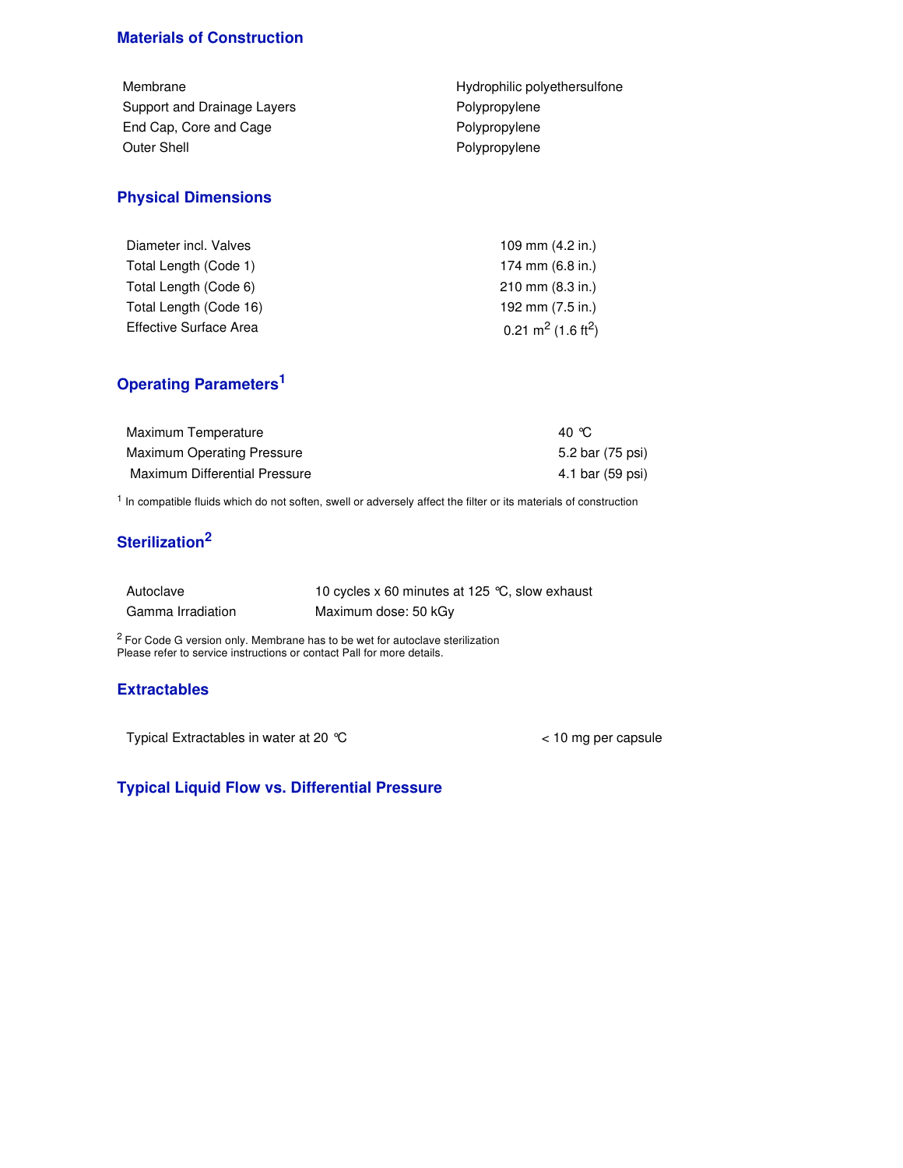## **Materials of Construction**

| Hydrophilic polyethersulfone |
|------------------------------|
| Polypropylene                |
| Polypropylene                |
| Polypropylene                |
|                              |

# **Physical Dimensions**

| Diameter incl. Valves  | 109 mm (4.2 in.)                           |
|------------------------|--------------------------------------------|
| Total Length (Code 1)  | 174 mm (6.8 in.)                           |
| Total Length (Code 6)  | $210 \text{ mm}$ (8.3 in.)                 |
| Total Length (Code 16) | 192 mm (7.5 in.)                           |
| Effective Surface Area | 0.21 m <sup>2</sup> (1.6 ft <sup>2</sup> ) |

## **Operating Parameters 1**

| Maximum Temperature           | 40 °C            |
|-------------------------------|------------------|
| Maximum Operating Pressure    | 5.2 bar (75 psi) |
| Maximum Differential Pressure | 4.1 bar (59 psi) |

<sup>1</sup> In compatible fluids which do not soften, swell or adversely affect the filter or its materials of construction

## **Sterilization 2**

| Autoclave         | 10 cycles x 60 minutes at 125 °C, slow exhaust |
|-------------------|------------------------------------------------|
| Gamma Irradiation | Maximum dose: 50 kGy                           |

<sup>2</sup> For Code G version only. Membrane has to be wet for autoclave sterilization Please refer to service instructions or contact Pall for more details.

## **Extractables**

Typical Extractables in water at 20 °C < 10 mg per capsule

## **Typical Liquid Flow vs. Differential Pressure**